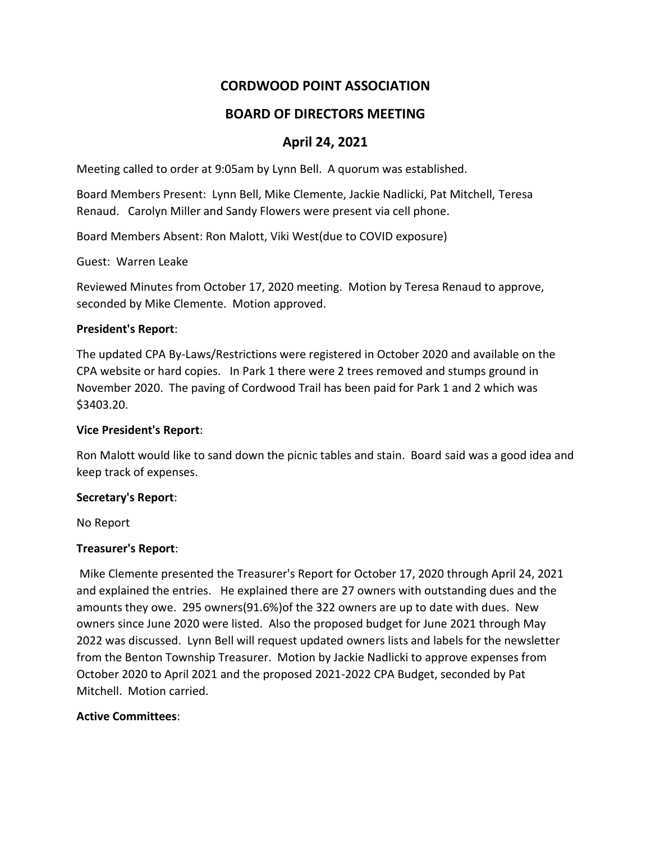# **CORDWOOD POINT ASSOCIATION**

## **BOARD OF DIRECTORS MEETING**

## **April 24, 2021**

Meeting called to order at 9:05am by Lynn Bell. A quorum was established.

Board Members Present: Lynn Bell, Mike Clemente, Jackie Nadlicki, Pat Mitchell, Teresa Renaud. Carolyn Miller and Sandy Flowers were present via cell phone.

Board Members Absent: Ron Malott, Viki West(due to COVID exposure)

Guest: Warren Leake

Reviewed Minutes from October 17, 2020 meeting. Motion by Teresa Renaud to approve, seconded by Mike Clemente. Motion approved.

#### **President's Report**:

The updated CPA By-Laws/Restrictions were registered in October 2020 and available on the CPA website or hard copies. In Park 1 there were 2 trees removed and stumps ground in November 2020. The paving of Cordwood Trail has been paid for Park 1 and 2 which was \$3403.20.

#### **Vice President's Report**:

Ron Malott would like to sand down the picnic tables and stain. Board said was a good idea and keep track of expenses.

#### **Secretary's Report**:

No Report

#### **Treasurer's Report**:

Mike Clemente presented the Treasurer's Report for October 17, 2020 through April 24, 2021 and explained the entries. He explained there are 27 owners with outstanding dues and the amounts they owe. 295 owners(91.6%)of the 322 owners are up to date with dues. New owners since June 2020 were listed. Also the proposed budget for June 2021 through May 2022 was discussed. Lynn Bell will request updated owners lists and labels for the newsletter from the Benton Township Treasurer. Motion by Jackie Nadlicki to approve expenses from October 2020 to April 2021 and the proposed 2021-2022 CPA Budget, seconded by Pat Mitchell. Motion carried.

#### **Active Committees**: